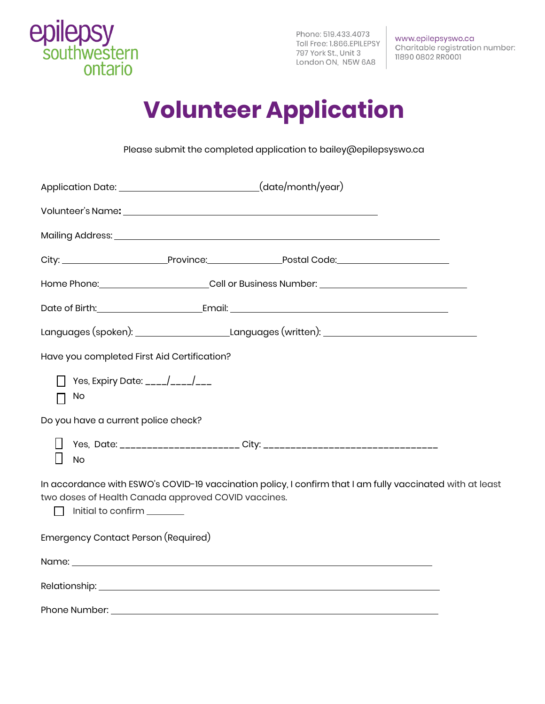

Phone: 519.433.4073 Toll Free: 1.866.EPILEPSY<br>797 York St., Unit 3 London ON, N5W 6A8

www.epilepsyswo.ca Charitable registration number: 11890 0802 RR0001

# **Volunteer Application**

Please submit the completed application to bailey@epilepsyswo.ca

| Application Date: _______________________________(date/month/year)                                                                                                                                                             |  |  |  |  |
|--------------------------------------------------------------------------------------------------------------------------------------------------------------------------------------------------------------------------------|--|--|--|--|
|                                                                                                                                                                                                                                |  |  |  |  |
|                                                                                                                                                                                                                                |  |  |  |  |
|                                                                                                                                                                                                                                |  |  |  |  |
| Home Phone: _______________________Cell or Business Number: _____________________                                                                                                                                              |  |  |  |  |
|                                                                                                                                                                                                                                |  |  |  |  |
| Languages (spoken): ____________________________Languages (written): _______________________________                                                                                                                           |  |  |  |  |
| Have you completed First Aid Certification?                                                                                                                                                                                    |  |  |  |  |
| Yes, Expiry Date: ____/____/___<br>No<br>П                                                                                                                                                                                     |  |  |  |  |
| Do you have a current police check?                                                                                                                                                                                            |  |  |  |  |
| <b>No</b>                                                                                                                                                                                                                      |  |  |  |  |
| In accordance with ESWO's COVID-19 vaccination policy, I confirm that I am fully vaccinated with at least<br>two doses of Health Canada approved COVID vaccines.<br>nitial to confirm 11999                                    |  |  |  |  |
| Emergency Contact Person (Required)                                                                                                                                                                                            |  |  |  |  |
|                                                                                                                                                                                                                                |  |  |  |  |
|                                                                                                                                                                                                                                |  |  |  |  |
| Phone Number: National Accounts and Accounts and Accounts and Accounts and Accounts and Accounts and Accounts and Accounts and Accounts and Accounts and Accounts and Accounts and Accounts and Accounts and Accounts and Acco |  |  |  |  |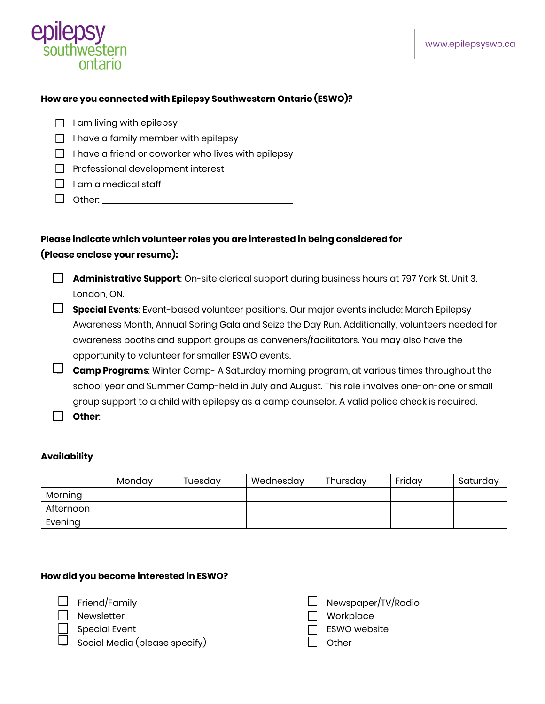

#### **How are you connected with Epilepsy Southwestern Ontario (ESWO)?**

|  | $\Box$ I am living with epilepsy |  |  |
|--|----------------------------------|--|--|
|--|----------------------------------|--|--|

- $\Box$  I have a family member with epilepsy
- $\Box$  I have a friend or coworker who lives with epilepsy
- $\Box$  Professional development interest
- $\Box$  I am a medical staff
- Other:

### **Please indicate which volunteer roles you are interested in being considered for (Please enclose your resume):**

 **Administrative Support**: On-site clerical support during business hours at 797 York St. Unit 3. London, ON.

 **Special Events**: Event-based volunteer positions. Our major events include: March Epilepsy Awareness Month, Annual Spring Gala and Seize the Day Run. Additionally, volunteers needed for awareness booths and support groups as conveners/facilitators. You may also have the opportunity to volunteer for smaller ESWO events.

 **Camp Programs**: Winter Camp- A Saturday morning program, at various times throughout the school year and Summer Camp-held in July and August. This role involves one-on-one or small group support to a child with epilepsy as a camp counselor. A valid police check is required.

**Other**:

#### **Availability**

|           | Mondav | Tuesdav | Wednesday | Thursday | Fridav | Saturdav |
|-----------|--------|---------|-----------|----------|--------|----------|
| Morning   |        |         |           |          |        |          |
| Afternoon |        |         |           |          |        |          |
| Evening   |        |         |           |          |        |          |

#### **How did you become interested in ESWO?**

- $\Box$  Newsletter  $\Box$  Workplace
- 

Social Media (please specify)  $\Box$   $\Box$  Other  $\Box$ 

 $\square$  Friend/Family  $\square$  Newspaper/TV/Radio

- 
- Special Event **EXWO** website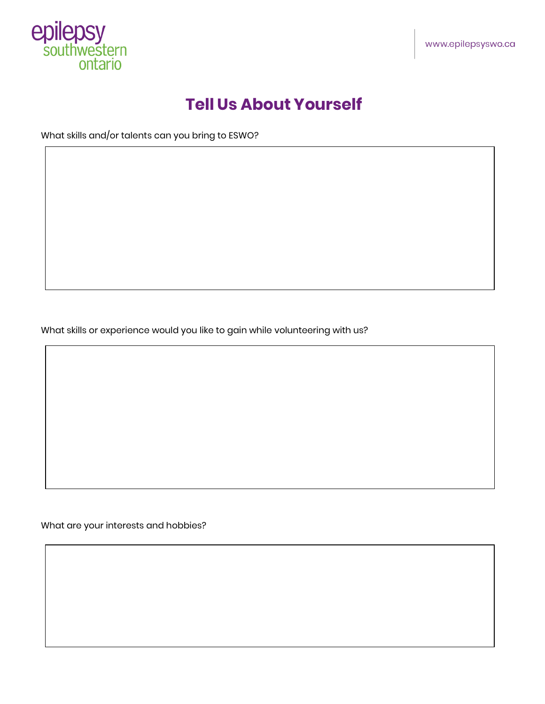

### **Tell Us About Yourself**

What skills and/or talents can you bring to ESWO?

What skills or experience would you like to gain while volunteering with us?

What are your interests and hobbies?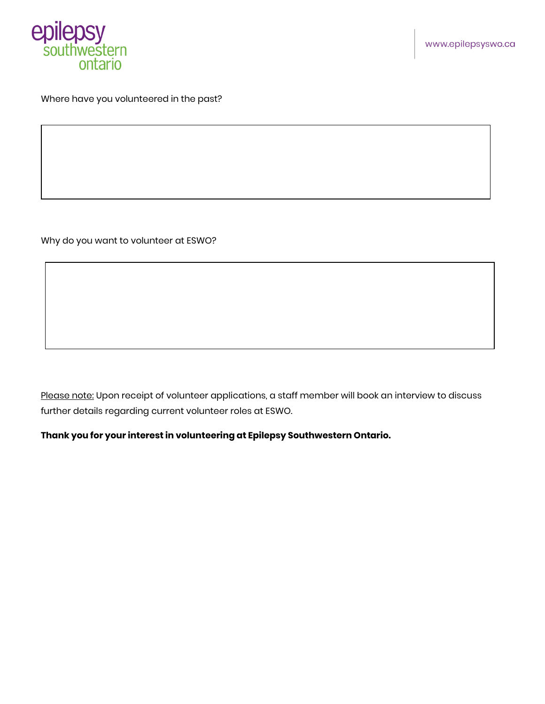

#### Where have you volunteered in the past?

Why do you want to volunteer at ESWO?

Please note: Upon receipt of volunteer applications, a staff member will book an interview to discuss further details regarding current volunteer roles at ESWO.

**Thank you for your interest in volunteering at Epilepsy Southwestern Ontario.**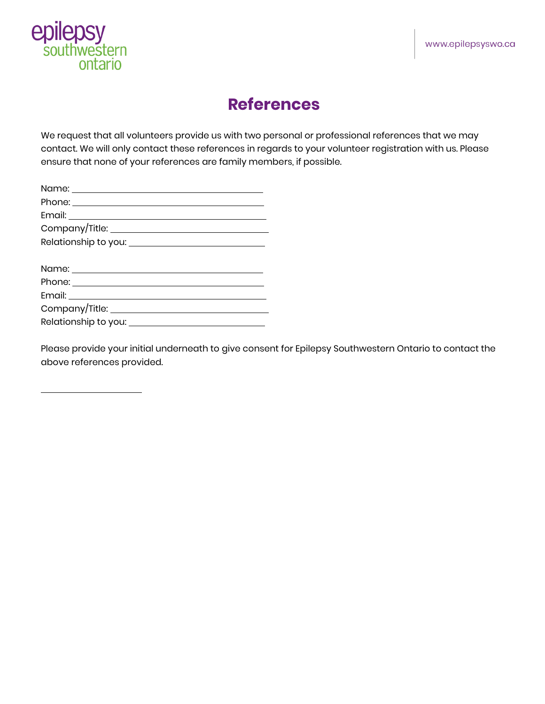

 $\overline{a}$ 

### **References**

We request that all volunteers provide us with two personal or professional references that we may contact. We will only contact these references in regards to your volunteer registration with us. Please ensure that none of your references are family members, if possible.

Please provide your initial underneath to give consent for Epilepsy Southwestern Ontario to contact the above references provided.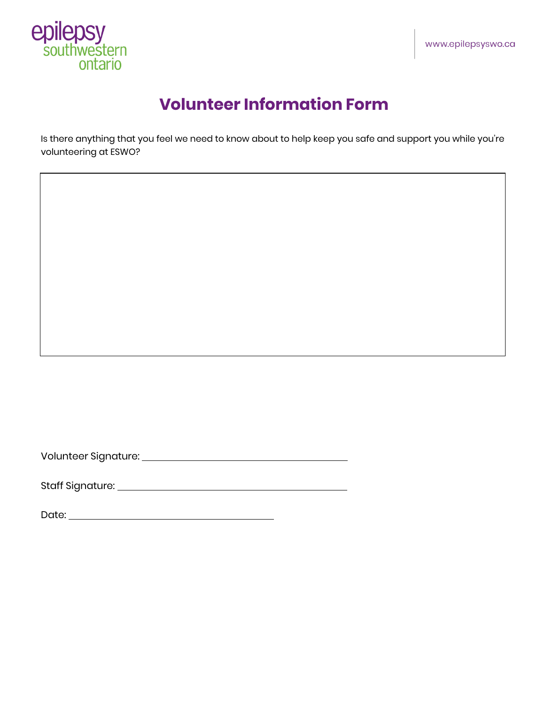

## **Volunteer Information Form**

Is there anything that you feel we need to know about to help keep you safe and support you while you're volunteering at ESWO?

Volunteer Signature:

Staff Signature:

Date: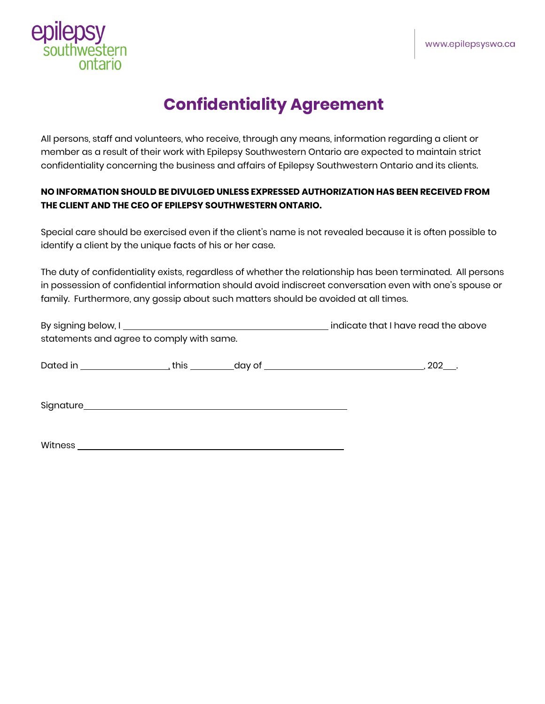

## **Confidentiality Agreement**

All persons, staff and volunteers, who receive, through any means, information regarding a client or member as a result of their work with Epilepsy Southwestern Ontario are expected to maintain strict confidentiality concerning the business and affairs of Epilepsy Southwestern Ontario and its clients.

#### **NO INFORMATION SHOULD BE DIVULGED UNLESS EXPRESSED AUTHORIZATION HAS BEEN RECEIVED FROM THE CLIENT AND THE CEO OF EPILEPSY SOUTHWESTERN ONTARIO.**

Special care should be exercised even if the client's name is not revealed because it is often possible to identify a client by the unique facts of his or her case.

The duty of confidentiality exists, regardless of whether the relationship has been terminated. All persons in possession of confidential information should avoid indiscreet conversation even with one's spouse or family. Furthermore, any gossip about such matters should be avoided at all times.

| statements and agree to comply with same. |  | indicate that I have read the above |  |
|-------------------------------------------|--|-------------------------------------|--|
|                                           |  |                                     |  |
|                                           |  |                                     |  |
|                                           |  |                                     |  |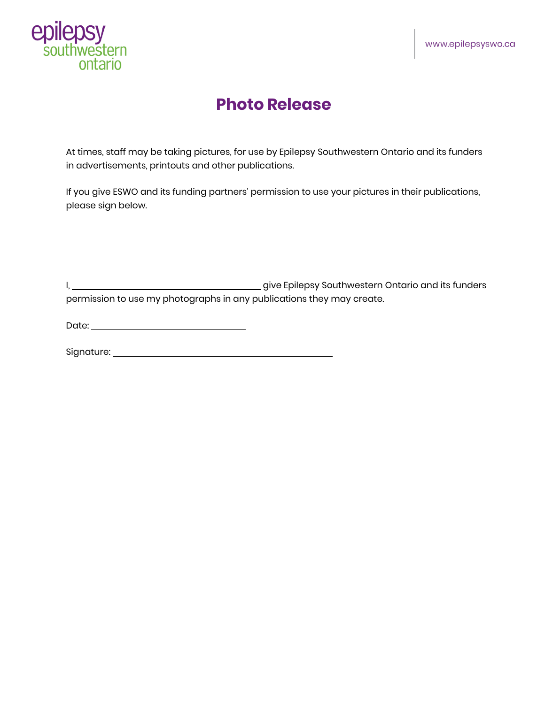

### **Photo Release**

At times, staff may be taking pictures, for use by Epilepsy Southwestern Ontario and its funders in advertisements, printouts and other publications.

If you give ESWO and its funding partners' permission to use your pictures in their publications, please sign below.

I, give Epilepsy Southwestern Ontario and its funders permission to use my photographs in any publications they may create.

Date:

Signature: